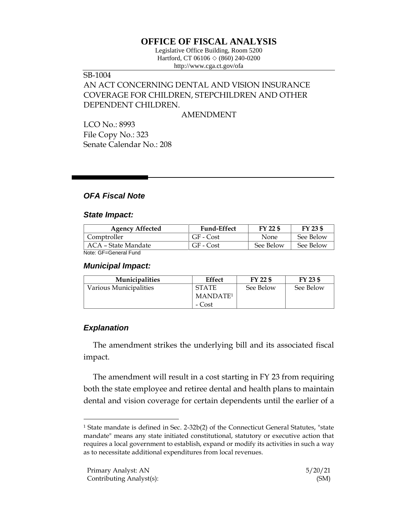# **OFFICE OF FISCAL ANALYSIS**

Legislative Office Building, Room 5200 Hartford, CT 06106  $\Diamond$  (860) 240-0200 http://www.cga.ct.gov/ofa

## SB-1004

## AN ACT CONCERNING DENTAL AND VISION INSURANCE COVERAGE FOR CHILDREN, STEPCHILDREN AND OTHER DEPENDENT CHILDREN.

#### AMENDMENT

LCO No.: 8993 File Copy No.: 323 Senate Calendar No.: 208

## *OFA Fiscal Note*

#### *State Impact:*

| <b>Agency Affected</b> | <b>Fund-Effect</b> | FY 22 \$  | FY 23 \$  |
|------------------------|--------------------|-----------|-----------|
| Comptroller            | GF - Cost          | None      | See Below |
| ACA – State Mandate    | GF - Cost          | See Below | See Below |
| Noto: CE_Conoral Eund  |                    |           |           |

Note: GF=General Fund

#### *Municipal Impact:*

| <b>Municipalities</b>  | Effect               | FY 22 \$  | FY 23 \$  |
|------------------------|----------------------|-----------|-----------|
| Various Municipalities | <b>STATE</b>         | See Below | See Below |
|                        | MANDATE <sup>1</sup> |           |           |
|                        | - Cost               |           |           |

## *Explanation*

 $\overline{a}$ 

The amendment strikes the underlying bill and its associated fiscal impact.

The amendment will result in a cost starting in FY 23 from requiring both the state employee and retiree dental and health plans to maintain dental and vision coverage for certain dependents until the earlier of a

<sup>&</sup>lt;sup>1</sup> State mandate is defined in Sec. 2-32b(2) of the Connecticut General Statutes, "state mandate" means any state initiated constitutional, statutory or executive action that requires a local government to establish, expand or modify its activities in such a way as to necessitate additional expenditures from local revenues.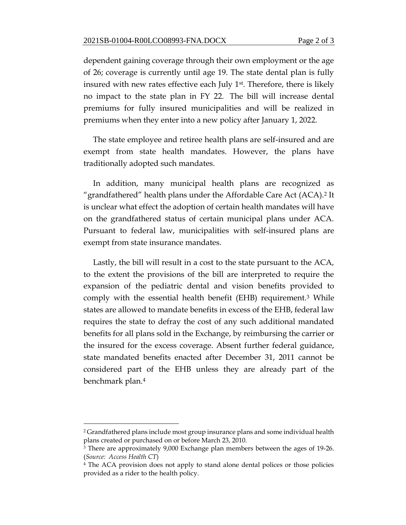dependent gaining coverage through their own employment or the age of 26; coverage is currently until age 19. The state dental plan is fully insured with new rates effective each July 1<sup>st</sup>. Therefore, there is likely no impact to the state plan in FY 22. The bill will increase dental premiums for fully insured municipalities and will be realized in premiums when they enter into a new policy after January 1, 2022.

The state employee and retiree health plans are self-insured and are exempt from state health mandates. However, the plans have traditionally adopted such mandates.

In addition, many municipal health plans are recognized as "grandfathered" health plans under the Affordable Care Act (ACA).<sup>2</sup> It is unclear what effect the adoption of certain health mandates will have on the grandfathered status of certain municipal plans under ACA. Pursuant to federal law, municipalities with self-insured plans are exempt from state insurance mandates.

Lastly, the bill will result in a cost to the state pursuant to the ACA, to the extent the provisions of the bill are interpreted to require the expansion of the pediatric dental and vision benefits provided to comply with the essential health benefit (EHB) requirement.<sup>3</sup> While states are allowed to mandate benefits in excess of the EHB, federal law requires the state to defray the cost of any such additional mandated benefits for all plans sold in the Exchange, by reimbursing the carrier or the insured for the excess coverage. Absent further federal guidance, state mandated benefits enacted after December 31, 2011 cannot be considered part of the EHB unless they are already part of the benchmark plan.<sup>4</sup>

 $\overline{a}$ 

<sup>2</sup> Grandfathered plans include most group insurance plans and some individual health plans created or purchased on or before March 23, 2010.

<sup>3</sup> There are approximately 9,000 Exchange plan members between the ages of 19-26. (*Source: Access Health CT*)

<sup>&</sup>lt;sup>4</sup> The ACA provision does not apply to stand alone dental polices or those policies provided as a rider to the health policy.